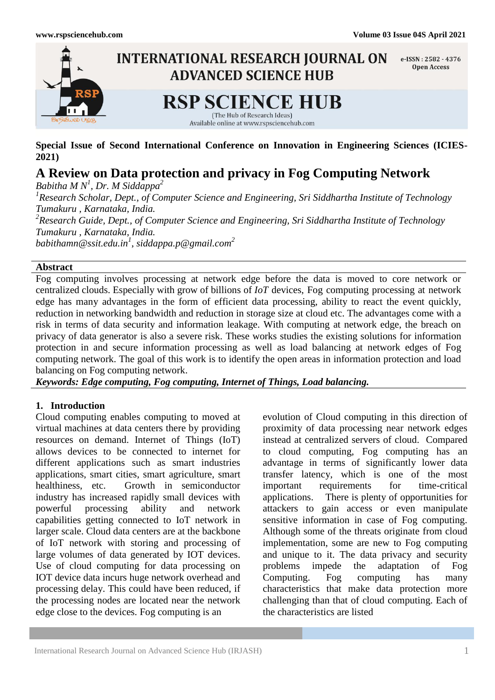

**Special Issue of Second International Conference on Innovation in Engineering Sciences (ICIES-2021)**

# **A Review on Data protection and privacy in Fog Computing Network**

*Babitha M N<sup>1</sup> , Dr. M Siddappa<sup>2</sup> 1 Research Scholar, Dept., of Computer Science and Engineering, Sri Siddhartha Institute of Technology Tumakuru , Karnataka, India. 2 Research Guide, Dept., of Computer Science and Engineering, Sri Siddhartha Institute of Technology Tumakuru , Karnataka, India. babithamn@ssit.edu.in<sup>1</sup>* , *siddappa.p@gmail.com<sup>2</sup>*

### **Abstract**

Fog computing involves processing at network edge before the data is moved to core network or centralized clouds. Especially with grow of billions of *IoT* devices, Fog computing processing at network edge has many advantages in the form of efficient data processing, ability to react the event quickly, reduction in networking bandwidth and reduction in storage size at cloud etc. The advantages come with a risk in terms of data security and information leakage. With computing at network edge, the breach on privacy of data generator is also a severe risk. These works studies the existing solutions for information protection in and secure information processing as well as load balancing at network edges of Fog computing network. The goal of this work is to identify the open areas in information protection and load balancing on Fog computing network.

*Keywords: Edge computing, Fog computing, Internet of Things, Load balancing.*

# **1. Introduction**

Cloud computing enables computing to moved at virtual machines at data centers there by providing resources on demand. Internet of Things (IoT) allows devices to be connected to internet for different applications such as smart industries applications, smart cities, smart agriculture, smart healthiness, etc. Growth in semiconductor industry has increased rapidly small devices with powerful processing ability and network capabilities getting connected to IoT network in larger scale. Cloud data centers are at the backbone of IoT network with storing and processing of large volumes of data generated by IOT devices. Use of cloud computing for data processing on IOT device data incurs huge network overhead and processing delay. This could have been reduced, if the processing nodes are located near the network edge close to the devices. Fog computing is an

evolution of Cloud computing in this direction of proximity of data processing near network edges instead at centralized servers of cloud. Compared to cloud computing, Fog computing has an advantage in terms of significantly lower data transfer latency, which is one of the most important requirements for time-critical applications. There is plenty of opportunities for attackers to gain access or even manipulate sensitive information in case of Fog computing. Although some of the threats originate from cloud implementation, some are new to Fog computing and unique to it. The data privacy and security problems impede the adaptation of Fog Computing. Fog computing has many characteristics that make data protection more challenging than that of cloud computing. Each of the characteristics are listed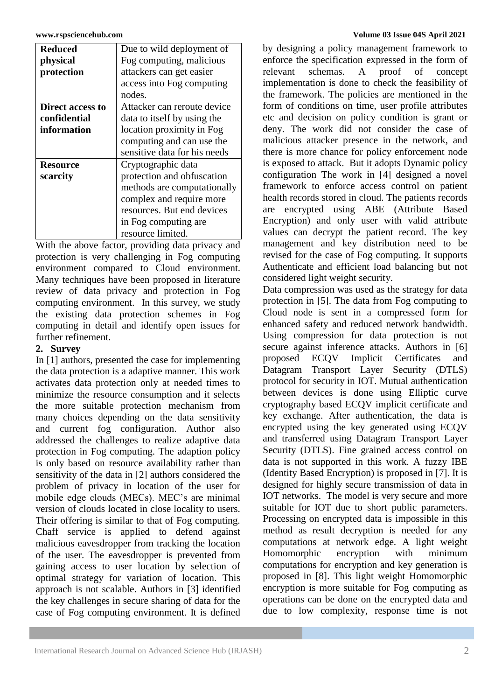| <b>Reduced</b>   | Due to wild deployment of    |
|------------------|------------------------------|
| physical         | Fog computing, malicious     |
| protection       | attackers can get easier     |
|                  | access into Fog computing    |
|                  | nodes.                       |
| Direct access to | Attacker can reroute device  |
| confidential     | data to itself by using the  |
| information      | location proximity in Fog    |
|                  | computing and can use the    |
|                  | sensitive data for his needs |
| <b>Resource</b>  | Cryptographic data           |
| scarcity         | protection and obfuscation   |
|                  | methods are computationally  |
|                  | complex and require more     |
|                  | resources. But end devices   |
|                  | in Fog computing are.        |
|                  | resource limited.            |

With the above factor, providing data privacy and protection is very challenging in Fog computing environment compared to Cloud environment. Many techniques have been proposed in literature review of data privacy and protection in Fog computing environment. In this survey, we study the existing data protection schemes in Fog computing in detail and identify open issues for further refinement.

# **2. Survey**

In [1] authors, presented the case for implementing the data protection is a adaptive manner. This work activates data protection only at needed times to minimize the resource consumption and it selects the more suitable protection mechanism from many choices depending on the data sensitivity and current fog configuration. Author also addressed the challenges to realize adaptive data protection in Fog computing. The adaption policy is only based on resource availability rather than sensitivity of the data in [2] authors considered the problem of privacy in location of the user for mobile edge clouds (MECs). MEC's are minimal version of clouds located in close locality to users. Their offering is similar to that of Fog computing. Chaff service is applied to defend against malicious eavesdropper from tracking the location of the user. The eavesdropper is prevented from gaining access to user location by selection of optimal strategy for variation of location. This approach is not scalable. Authors in [3] identified the key challenges in secure sharing of data for the case of Fog computing environment. It is defined

### **www.rspsciencehub.com Volume 03 Issue 04S April 2021**

by designing a policy management framework to enforce the specification expressed in the form of relevant schemas. A proof of concept implementation is done to check the feasibility of the framework. The policies are mentioned in the form of conditions on time, user profile attributes etc and decision on policy condition is grant or deny. The work did not consider the case of malicious attacker presence in the network, and there is more chance for policy enforcement node is exposed to attack. But it adopts Dynamic policy configuration The work in [4] designed a novel framework to enforce access control on patient health records stored in cloud. The patients records are encrypted using ABE (Attribute Based Encryption) and only user with valid attribute values can decrypt the patient record. The key management and key distribution need to be revised for the case of Fog computing. It supports Authenticate and efficient load balancing but not considered light weight security.

Data compression was used as the strategy for data protection in [5]. The data from Fog computing to Cloud node is sent in a compressed form for enhanced safety and reduced network bandwidth. Using compression for data protection is not secure against inference attacks. Authors in [6] proposed ECQV Implicit Certificates and Datagram Transport Layer Security (DTLS) protocol for security in IOT. Mutual authentication between devices is done using Elliptic curve cryptography based ECQV implicit certificate and key exchange. After authentication, the data is encrypted using the key generated using ECQV and transferred using Datagram Transport Layer Security (DTLS). Fine grained access control on data is not supported in this work. A fuzzy IBE (Identity Based Encryption) is proposed in [7]. It is designed for highly secure transmission of data in IOT networks. The model is very secure and more suitable for IOT due to short public parameters. Processing on encrypted data is impossible in this method as result decryption is needed for any computations at network edge. A light weight Homomorphic encryption with minimum computations for encryption and key generation is proposed in [8]. This light weight Homomorphic encryption is more suitable for Fog computing as operations can be done on the encrypted data and due to low complexity, response time is not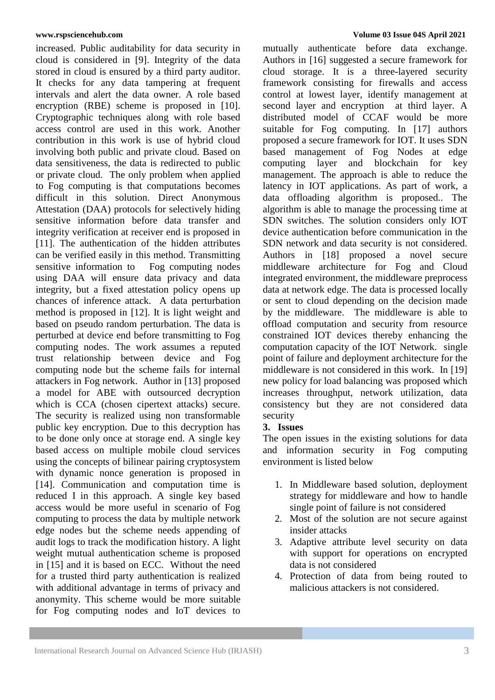increased. Public auditability for data security in cloud is considered in [9]. Integrity of the data stored in cloud is ensured by a third party auditor. It checks for any data tampering at frequent intervals and alert the data owner. A role based encryption (RBE) scheme is proposed in [10]. Cryptographic techniques along with role based access control are used in this work. Another contribution in this work is use of hybrid cloud involving both public and private cloud. Based on data sensitiveness, the data is redirected to public or private cloud. The only problem when applied to Fog computing is that computations becomes difficult in this solution. Direct Anonymous Attestation (DAA) protocols for selectively hiding sensitive information before data transfer and integrity verification at receiver end is proposed in [11]. The authentication of the hidden attributes can be verified easily in this method. Transmitting sensitive information to Fog computing nodes using DAA will ensure data privacy and data integrity, but a fixed attestation policy opens up chances of inference attack. A data perturbation method is proposed in [12]. It is light weight and based on pseudo random perturbation. The data is perturbed at device end before transmitting to Fog computing nodes. The work assumes a reputed trust relationship between device and Fog computing node but the scheme fails for internal attackers in Fog network. Author in [13] proposed a model for ABE with outsourced decryption which is CCA (chosen cipertext attacks) secure. The security is realized using non transformable public key encryption. Due to this decryption has to be done only once at storage end. A single key based access on multiple mobile cloud services using the concepts of bilinear pairing cryptosystem with dynamic nonce generation is proposed in [14]. Communication and computation time is reduced I in this approach. A single key based access would be more useful in scenario of Fog computing to process the data by multiple network edge nodes but the scheme needs appending of audit logs to track the modification history. A light weight mutual authentication scheme is proposed in [15] and it is based on ECC. Without the need for a trusted third party authentication is realized with additional advantage in terms of privacy and anonymity. This scheme would be more suitable for Fog computing nodes and IoT devices to

mutually authenticate before data exchange. Authors in [16] suggested a secure framework for cloud storage. It is a three-layered security framework consisting for firewalls and access control at lowest layer, identify management at second layer and encryption at third layer. A distributed model of CCAF would be more suitable for Fog computing. In [17] authors proposed a secure framework for IOT. It uses SDN based management of Fog Nodes at edge computing layer and blockchain for key management. The approach is able to reduce the latency in IOT applications. As part of work, a data offloading algorithm is proposed.. The algorithm is able to manage the processing time at SDN switches. The solution considers only IOT device authentication before communication in the SDN network and data security is not considered. Authors in [18] proposed a novel secure middleware architecture for Fog and Cloud integrated environment, the middleware preprocess data at network edge. The data is processed locally or sent to cloud depending on the decision made by the middleware. The middleware is able to offload computation and security from resource constrained IOT devices thereby enhancing the computation capacity of the IOT Network. single point of failure and deployment architecture for the middleware is not considered in this work. In [19] new policy for load balancing was proposed which increases throughput, network utilization, data consistency but they are not considered data security

### **3. Issues**

The open issues in the existing solutions for data and information security in Fog computing environment is listed below

- 1. In Middleware based solution, deployment strategy for middleware and how to handle single point of failure is not considered
- 2. Most of the solution are not secure against insider attacks
- 3. Adaptive attribute level security on data with support for operations on encrypted data is not considered
- 4. Protection of data from being routed to malicious attackers is not considered.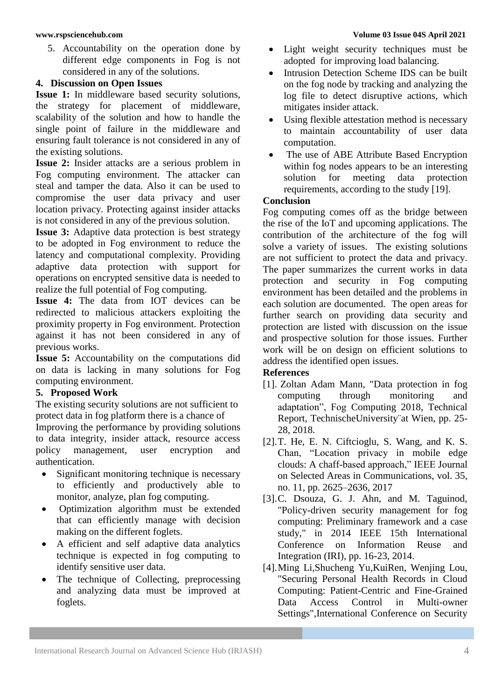5. Accountability on the operation done by different edge components in Fog is not considered in any of the solutions.

### **4. Discussion on Open Issues**

**Issue 1:** In middleware based security solutions, the strategy for placement of middleware, scalability of the solution and how to handle the single point of failure in the middleware and ensuring fault tolerance is not considered in any of the existing solutions.

**Issue 2:** Insider attacks are a serious problem in Fog computing environment. The attacker can steal and tamper the data. Also it can be used to compromise the user data privacy and user location privacy. Protecting against insider attacks is not considered in any of the previous solution.

**Issue 3:** Adaptive data protection is best strategy to be adopted in Fog environment to reduce the latency and computational complexity. Providing adaptive data protection with support for operations on encrypted sensitive data is needed to realize the full potential of Fog computing.

**Issue 4:** The data from IOT devices can be redirected to malicious attackers exploiting the proximity property in Fog environment. Protection against it has not been considered in any of previous works.

**Issue 5:** Accountability on the computations did on data is lacking in many solutions for Fog computing environment.

# **5. Proposed Work**

The existing security solutions are not sufficient to protect data in fog platform there is a chance of

Improving the performance by providing solutions to data integrity, insider attack, resource access policy management, user encryption and authentication.

- Significant monitoring technique is necessary to efficiently and productively able to monitor, analyze, plan fog computing.
- Optimization algorithm must be extended that can efficiently manage with decision making on the different foglets.
- A efficient and self adaptive data analytics technique is expected in fog computing to identify sensitive user data.
- The technique of Collecting, preprocessing and analyzing data must be improved at foglets.
- Light weight security techniques must be adopted for improving load balancing.
- Intrusion Detection Scheme IDS can be built on the fog node by tracking and analyzing the log file to detect disruptive actions, which mitigates insider attack.
- Using flexible attestation method is necessary to maintain accountability of user data computation.
- The use of ABE Attribute Based Encryption within fog nodes appears to be an interesting solution for meeting data protection requirements, according to the study [19].

### **Conclusion**

Fog computing comes off as the bridge between the rise of the IoT and upcoming applications. The contribution of the architecture of the fog will solve a variety of issues. The existing solutions are not sufficient to protect the data and privacy. The paper summarizes the current works in data protection and security in Fog computing environment has been detailed and the problems in each solution are documented. The open areas for further search on providing data security and protection are listed with discussion on the issue and prospective solution for those issues. Further work will be on design on efficient solutions to address the identified open issues.

### **References**

- [1]. Zoltan Adam Mann, "Data protection in fog computing through monitoring and adaptation", Fog Computing 2018, Technical Report, TechnischeUniversity¨at Wien, pp. 25- 28, 2018.
- [2].T. He, E. N. Ciftcioglu, S. Wang, and K. S. Chan, "Location privacy in mobile edge clouds: A chaff-based approach," IEEE Journal on Selected Areas in Communications, vol. 35, no. 11, pp. 2625–2636, 2017
- [3].C. Dsouza, G. J. Ahn, and M. Taguinod, "Policy-driven security management for fog computing: Preliminary framework and a case study," in 2014 IEEE 15th International Conference on Information Reuse and Integration (IRI), pp. 16-23, 2014.
- [4].Ming Li,Shucheng Yu,KuiRen, Wenjing Lou, "Securing Personal Health Records in Cloud Computing: Patient-Centric and Fine-Grained Data Access Control in Multi-owner Settings",International Conference on Security